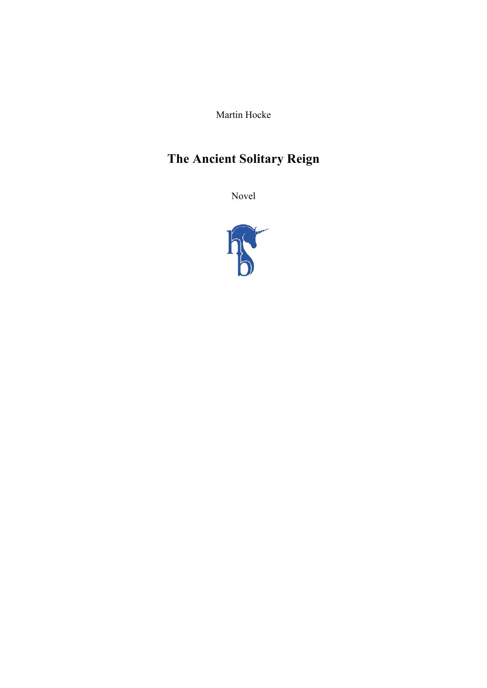Martin Hocke

# **The Ancient Solitary Reign**

Novel

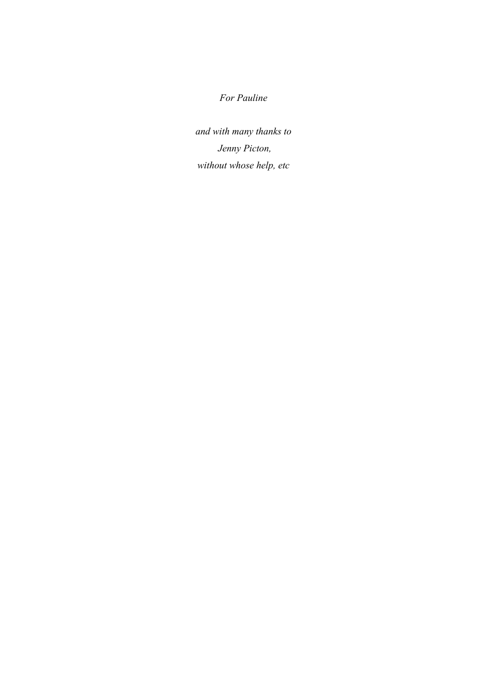## *For Pauline*

*and with many thanks to Jenny Picton, without whose help, etc*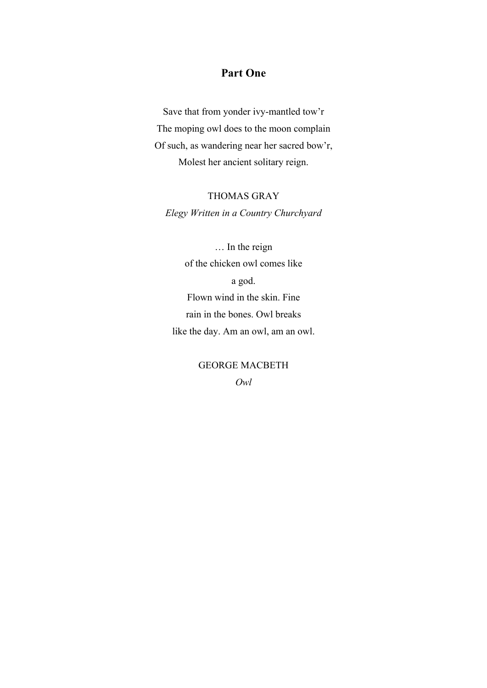## **Part One**

Save that from yonder ivy-mantled tow'r The moping owl does to the moon complain Of such, as wandering near her sacred bow'r, Molest her ancient solitary reign.

### THOMAS GRAY

*Elegy Written in a Country Churchyard*

… In the reign of the chicken owl comes like a god. Flown wind in the skin. Fine rain in the bones. Owl breaks like the day. Am an owl, am an owl.

> GEORGE MACBETH *Owl*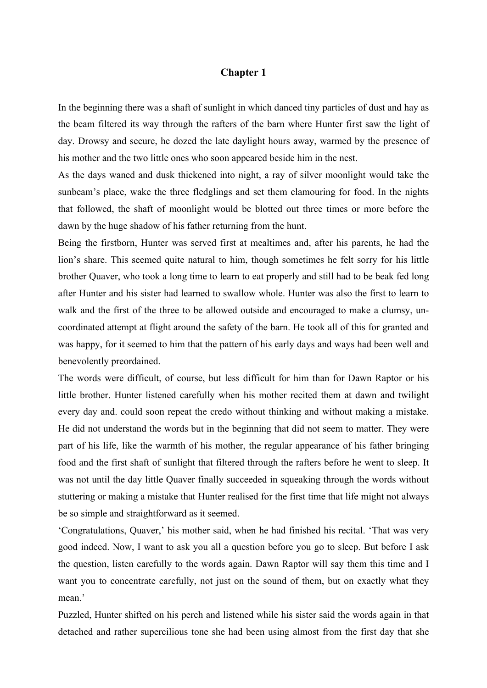#### **Chapter 1**

In the beginning there was a shaft of sunlight in which danced tiny particles of dust and hay as the beam filtered its way through the rafters of the barn where Hunter first saw the light of day. Drowsy and secure, he dozed the late daylight hours away, warmed by the presence of his mother and the two little ones who soon appeared beside him in the nest.

As the days waned and dusk thickened into night, a ray of silver moonlight would take the sunbeam's place, wake the three fledglings and set them clamouring for food. In the nights that followed, the shaft of moonlight would be blotted out three times or more before the dawn by the huge shadow of his father returning from the hunt.

Being the firstborn, Hunter was served first at mealtimes and, after his parents, he had the lion's share. This seemed quite natural to him, though sometimes he felt sorry for his little brother Quaver, who took a long time to learn to eat properly and still had to be beak fed long after Hunter and his sister had learned to swallow whole. Hunter was also the first to learn to walk and the first of the three to be allowed outside and encouraged to make a clumsy, uncoordinated attempt at flight around the safety of the barn. He took all of this for granted and was happy, for it seemed to him that the pattern of his early days and ways had been well and benevolently preordained.

The words were difficult, of course, but less difficult for him than for Dawn Raptor or his little brother. Hunter listened carefully when his mother recited them at dawn and twilight every day and. could soon repeat the credo without thinking and without making a mistake. He did not understand the words but in the beginning that did not seem to matter. They were part of his life, like the warmth of his mother, the regular appearance of his father bringing food and the first shaft of sunlight that filtered through the rafters before he went to sleep. It was not until the day little Quaver finally succeeded in squeaking through the words without stuttering or making a mistake that Hunter realised for the first time that life might not always be so simple and straightforward as it seemed.

'Congratulations, Quaver,' his mother said, when he had finished his recital. 'That was very good indeed. Now, I want to ask you all a question before you go to sleep. But before I ask the question, listen carefully to the words again. Dawn Raptor will say them this time and I want you to concentrate carefully, not just on the sound of them, but on exactly what they mean<sup>'</sup>

Puzzled, Hunter shifted on his perch and listened while his sister said the words again in that detached and rather supercilious tone she had been using almost from the first day that she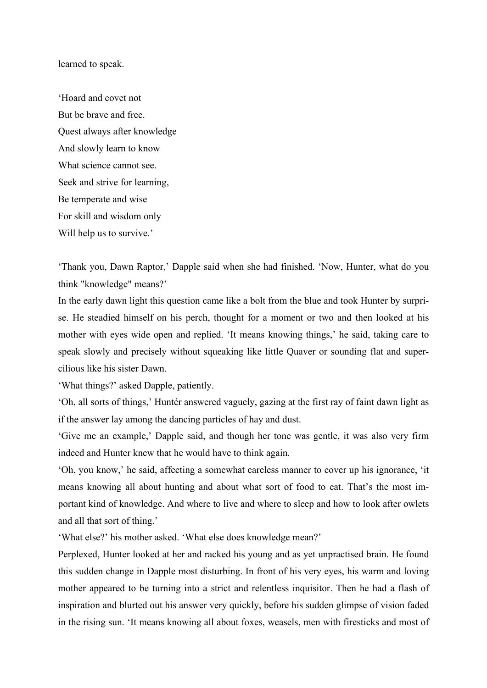learned to speak.

'Hoard and covet not But be brave and free. Quest always after knowledge And slowly learn to know What science cannot see. Seek and strive for learning, Be temperate and wise For skill and wisdom only Will help us to survive.'

'Thank you, Dawn Raptor,' Dapple said when she had finished. 'Now, Hunter, what do you think "knowledge" means?'

In the early dawn light this question came like a bolt from the blue and took Hunter by surprise. He steadied himself on his perch, thought for a moment or two and then looked at his mother with eyes wide open and replied. 'It means knowing things,' he said, taking care to speak slowly and precisely without squeaking like little Quaver or sounding flat and supercilious like his sister Dawn.

'What things?' asked Dapple, patiently.

'Oh, all sorts of things,' Huntér answered vaguely, gazing at the first ray of faint dawn light as if the answer lay among the dancing particles of hay and dust.

'Give me an example,' Dapple said, and though her tone was gentle, it was also very firm indeed and Hunter knew that he would have to think again.

'Oh, you know,' he said, affecting a somewhat careless manner to cover up his ignorance, 'it means knowing all about hunting and about what sort of food to eat. That's the most important kind of knowledge. And where to live and where to sleep and how to look after owlets and all that sort of thing.'

'What else?' his mother asked. 'What else does knowledge mean?'

Perplexed, Hunter looked at her and racked his young and as yet unpractised brain. He found this sudden change in Dapple most disturbing. In front of his very eyes, his warm and loving mother appeared to be turning into a strict and relentless inquisitor. Then he had a flash of inspiration and blurted out his answer very quickly, before his sudden glimpse of vision faded in the rising sun. 'It means knowing all about foxes, weasels, men with firesticks and most of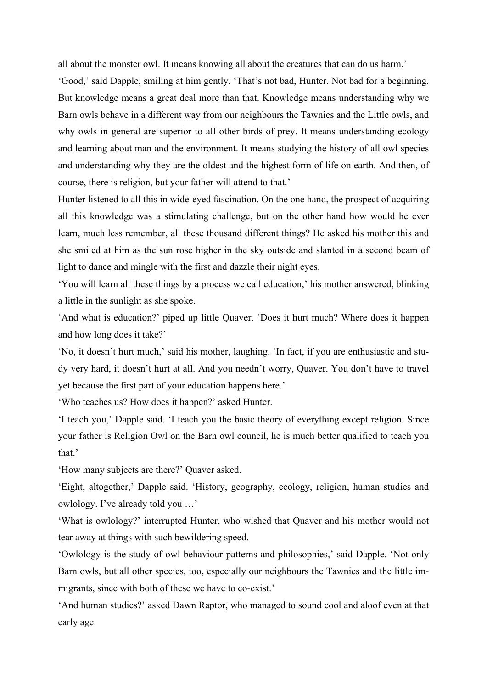all about the monster owl. It means knowing all about the creatures that can do us harm.'

'Good,' said Dapple, smiling at him gently. 'That's not bad, Hunter. Not bad for a beginning. But knowledge means a great deal more than that. Knowledge means understanding why we Barn owls behave in a different way from our neighbours the Tawnies and the Little owls, and why owls in general are superior to all other birds of prey. It means understanding ecology and learning about man and the environment. It means studying the history of all owl species and understanding why they are the oldest and the highest form of life on earth. And then, of course, there is religion, but your father will attend to that.'

Hunter listened to all this in wide-eyed fascination. On the one hand, the prospect of acquiring all this knowledge was a stimulating challenge, but on the other hand how would he ever learn, much less remember, all these thousand different things? He asked his mother this and she smiled at him as the sun rose higher in the sky outside and slanted in a second beam of light to dance and mingle with the first and dazzle their night eyes.

'You will learn all these things by a process we call education,' his mother answered, blinking a little in the sunlight as she spoke.

'And what is education?' piped up little Quaver. 'Does it hurt much? Where does it happen and how long does it take?'

'No, it doesn't hurt much,' said his mother, laughing. 'In fact, if you are enthusiastic and study very hard, it doesn't hurt at all. And you needn't worry, Quaver. You don't have to travel yet because the first part of your education happens here.'

'Who teaches us? How does it happen?' asked Hunter.

'I teach you,' Dapple said. 'I teach you the basic theory of everything except religion. Since your father is Religion Owl on the Barn owl council, he is much better qualified to teach you that.'

'How many subjects are there?' Quaver asked.

'Eight, altogether,' Dapple said. 'History, geography, ecology, religion, human studies and owlology. I've already told you …'

'What is owlology?' interrupted Hunter, who wished that Quaver and his mother would not tear away at things with such bewildering speed.

'Owlology is the study of owl behaviour patterns and philosophies,' said Dapple. 'Not only Barn owls, but all other species, too, especially our neighbours the Tawnies and the little immigrants, since with both of these we have to co-exist.'

'And human studies?' asked Dawn Raptor, who managed to sound cool and aloof even at that early age.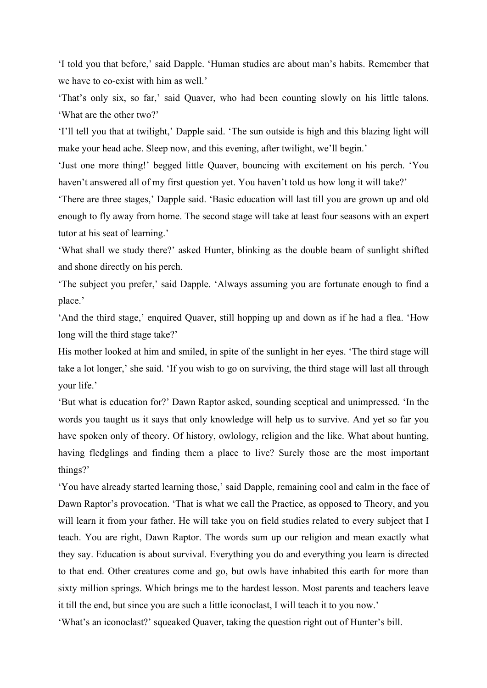'I told you that before,' said Dapple. 'Human studies are about man's habits. Remember that we have to co-exist with him as well.

'That's only six, so far,' said Quaver, who had been counting slowly on his little talons. 'What are the other two?'

'I'll tell you that at twilight,' Dapple said. 'The sun outside is high and this blazing light will make your head ache. Sleep now, and this evening, after twilight, we'll begin.'

'Just one more thing!' begged little Quaver, bouncing with excitement on his perch. 'You haven't answered all of my first question yet. You haven't told us how long it will take?'

'There are three stages,' Dapple said. 'Basic education will last till you are grown up and old enough to fly away from home. The second stage will take at least four seasons with an expert tutor at his seat of learning.'

'What shall we study there?' asked Hunter, blinking as the double beam of sunlight shifted and shone directly on his perch.

'The subject you prefer,' said Dapple. 'Always assuming you are fortunate enough to find a place.'

'And the third stage,' enquired Quaver, still hopping up and down as if he had a flea. 'How long will the third stage take?'

His mother looked at him and smiled, in spite of the sunlight in her eyes. 'The third stage will take a lot longer,' she said. 'If you wish to go on surviving, the third stage will last all through your life.'

'But what is education for?' Dawn Raptor asked, sounding sceptical and unimpressed. 'In the words you taught us it says that only knowledge will help us to survive. And yet so far you have spoken only of theory. Of history, owlology, religion and the like. What about hunting, having fledglings and finding them a place to live? Surely those are the most important things?'

'You have already started learning those,' said Dapple, remaining cool and calm in the face of Dawn Raptor's provocation. 'That is what we call the Practice, as opposed to Theory, and you will learn it from your father. He will take you on field studies related to every subject that I teach. You are right, Dawn Raptor. The words sum up our religion and mean exactly what they say. Education is about survival. Everything you do and everything you learn is directed to that end. Other creatures come and go, but owls have inhabited this earth for more than sixty million springs. Which brings me to the hardest lesson. Most parents and teachers leave it till the end, but since you are such a little iconoclast, I will teach it to you now.'

'What's an iconoclast?' squeaked Quaver, taking the question right out of Hunter's bill.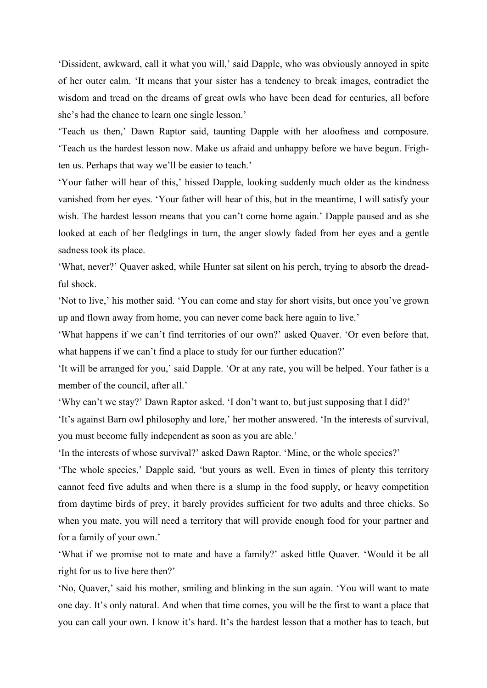'Dissident, awkward, call it what you will,' said Dapple, who was obviously annoyed in spite of her outer calm. 'It means that your sister has a tendency to break images, contradict the wisdom and tread on the dreams of great owls who have been dead for centuries, all before she's had the chance to learn one single lesson.'

'Teach us then,' Dawn Raptor said, taunting Dapple with her aloofness and composure. 'Teach us the hardest lesson now. Make us afraid and unhappy before we have begun. Frighten us. Perhaps that way we'll be easier to teach.'

'Your father will hear of this,' hissed Dapple, looking suddenly much older as the kindness vanished from her eyes. 'Your father will hear of this, but in the meantime, I will satisfy your wish. The hardest lesson means that you can't come home again.' Dapple paused and as she looked at each of her fledglings in turn, the anger slowly faded from her eyes and a gentle sadness took its place.

'What, never?' Quaver asked, while Hunter sat silent on his perch, trying to absorb the dreadful shock.

'Not to live,' his mother said. 'You can come and stay for short visits, but once you've grown up and flown away from home, you can never come back here again to live.'

'What happens if we can't find territories of our own?' asked Quaver. 'Or even before that, what happens if we can't find a place to study for our further education?'

'It will be arranged for you,' said Dapple. 'Or at any rate, you will be helped. Your father is a member of the council, after all.'

'Why can't we stay?' Dawn Raptor asked. 'I don't want to, but just supposing that I did?'

'It's against Barn owl philosophy and lore,' her mother answered. 'In the interests of survival, you must become fully independent as soon as you are able.'

'In the interests of whose survival?' asked Dawn Raptor. 'Mine, or the whole species?'

'The whole species,' Dapple said, 'but yours as well. Even in times of plenty this territory cannot feed five adults and when there is a slump in the food supply, or heavy competition from daytime birds of prey, it barely provides sufficient for two adults and three chicks. So when you mate, you will need a territory that will provide enough food for your partner and for a family of your own.'

'What if we promise not to mate and have a family?' asked little Quaver. 'Would it be all right for us to live here then?'

'No, Quaver,' said his mother, smiling and blinking in the sun again. 'You will want to mate one day. It's only natural. And when that time comes, you will be the first to want a place that you can call your own. I know it's hard. It's the hardest lesson that a mother has to teach, but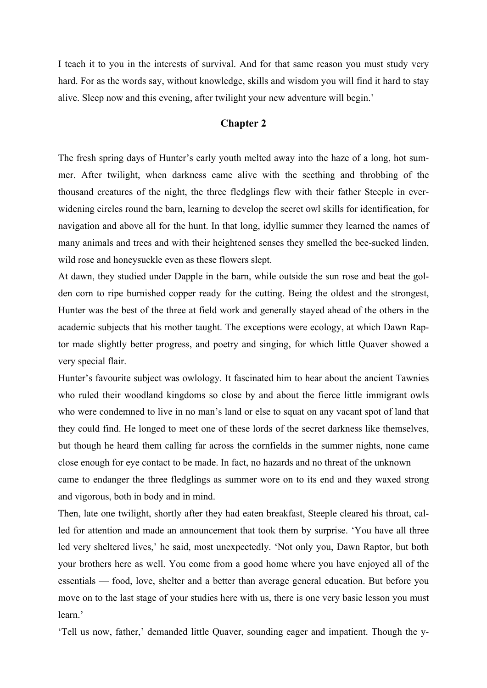I teach it to you in the interests of survival. And for that same reason you must study very hard. For as the words say, without knowledge, skills and wisdom you will find it hard to stay alive. Sleep now and this evening, after twilight your new adventure will begin.'

#### **Chapter 2**

The fresh spring days of Hunter's early youth melted away into the haze of a long, hot summer. After twilight, when darkness came alive with the seething and throbbing of the thousand creatures of the night, the three fledglings flew with their father Steeple in everwidening circles round the barn, learning to develop the secret owl skills for identification, for navigation and above all for the hunt. In that long, idyllic summer they learned the names of many animals and trees and with their heightened senses they smelled the bee-sucked linden, wild rose and honeysuckle even as these flowers slept.

At dawn, they studied under Dapple in the barn, while outside the sun rose and beat the golden corn to ripe burnished copper ready for the cutting. Being the oldest and the strongest, Hunter was the best of the three at field work and generally stayed ahead of the others in the academic subjects that his mother taught. The exceptions were ecology, at which Dawn Raptor made slightly better progress, and poetry and singing, for which little Quaver showed a very special flair.

Hunter's favourite subject was owlology. It fascinated him to hear about the ancient Tawnies who ruled their woodland kingdoms so close by and about the fierce little immigrant owls who were condemned to live in no man's land or else to squat on any vacant spot of land that they could find. He longed to meet one of these lords of the secret darkness like themselves, but though he heard them calling far across the cornfields in the summer nights, none came close enough for eye contact to be made. In fact, no hazards and no threat of the unknown came to endanger the three fledglings as summer wore on to its end and they waxed strong and vigorous, both in body and in mind.

Then, late one twilight, shortly after they had eaten breakfast, Steeple cleared his throat, called for attention and made an announcement that took them by surprise. 'You have all three led very sheltered lives,' he said, most unexpectedly. 'Not only you, Dawn Raptor, but both your brothers here as well. You come from a good home where you have enjoyed all of the essentials — food, love, shelter and a better than average general education. But before you move on to the last stage of your studies here with us, there is one very basic lesson you must learn<sup>'</sup>

'Tell us now, father,' demanded little Quaver, sounding eager and impatient. Though the y-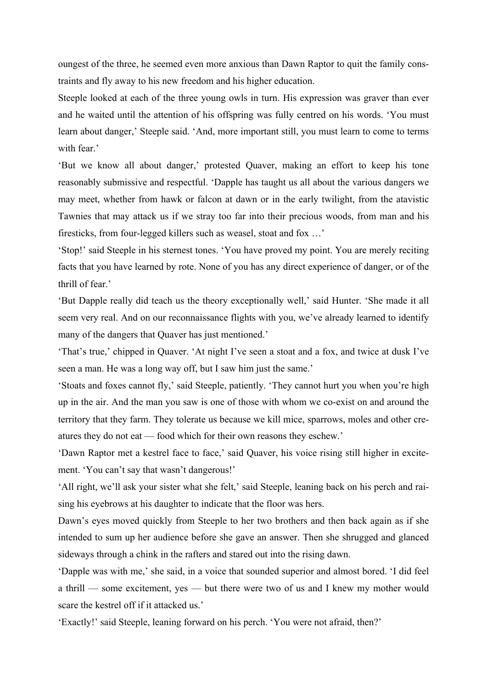oungest of the three, he seemed even more anxious than Dawn Raptor to quit the family constraints and fly away to his new freedom and his higher education.

Steeple looked at each of the three young owls in turn. His expression was graver than ever and he waited until the attention of his offspring was fully centred on his words. 'You must learn about danger,' Steeple said. 'And, more important still, you must learn to come to terms with fear.'

'But we know all about danger,' protested Quaver, making an effort to keep his tone reasonably submissive and respectful. 'Dapple has taught us all about the various dangers we may meet, whether from hawk or falcon at dawn or in the early twilight, from the atavistic Tawnies that may attack us if we stray too far into their precious woods, from man and his firesticks, from four-legged killers such as weasel, stoat and fox …'

'Stop!' said Steeple in his sternest tones. 'You have proved my point. You are merely reciting facts that you have learned by rote. None of you has any direct experience of danger, or of the thrill of fear.'

'But Dapple really did teach us the theory exceptionally well,' said Hunter. 'She made it all seem very real. And on our reconnaissance flights with you, we've already learned to identify many of the dangers that Quaver has just mentioned.'

'That's true,' chipped in Quaver. 'At night I've seen a stoat and a fox, and twice at dusk I've seen a man. He was a long way off, but I saw him just the same.'

'Stoats and foxes cannot fly,' said Steeple, patiently. 'They cannot hurt you when you're high up in the air. And the man you saw is one of those with whom we co-exist on and around the territory that they farm. They tolerate us because we kill mice, sparrows, moles and other creatures they do not eat — food which for their own reasons they eschew.'

'Dawn Raptor met a kestrel face to face,' said Quaver, his voice rising still higher in excitement. 'You can't say that wasn't dangerous!'

'All right, we'll ask your sister what she felt,' said Steeple, leaning back on his perch and raising his eyebrows at his daughter to indicate that the floor was hers.

Dawn's eyes moved quickly from Steeple to her two brothers and then back again as if she intended to sum up her audience before she gave an answer. Then she shrugged and glanced sideways through a chink in the rafters and stared out into the rising dawn.

'Dapple was with me,' she said, in a voice that sounded superior and almost bored. 'I did feel a thrill — some excitement, yes — but there were two of us and I knew my mother would scare the kestrel off if it attacked us.'

'Exactly!' said Steeple, leaning forward on his perch. 'You were not afraid, then?'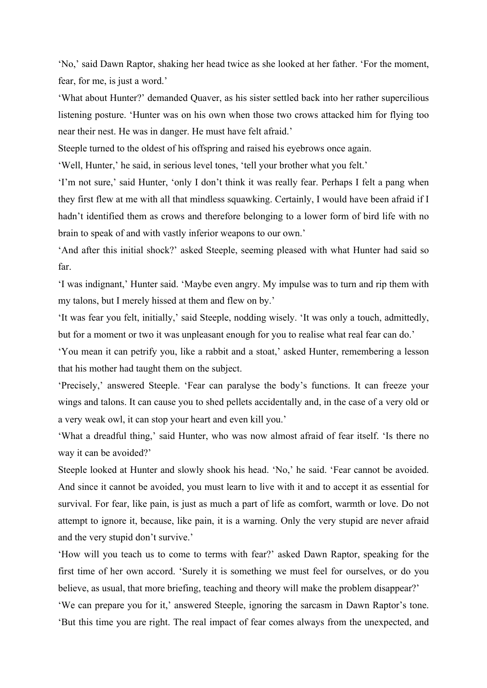'No,' said Dawn Raptor, shaking her head twice as she looked at her father. 'For the moment, fear, for me, is just a word.'

'What about Hunter?' demanded Quaver, as his sister settled back into her rather supercilious listening posture. 'Hunter was on his own when those two crows attacked him for flying too near their nest. He was in danger. He must have felt afraid.'

Steeple turned to the oldest of his offspring and raised his eyebrows once again.

'Well, Hunter,' he said, in serious level tones, 'tell your brother what you felt.'

'I'm not sure,' said Hunter, 'only I don't think it was really fear. Perhaps I felt a pang when they first flew at me with all that mindless squawking. Certainly, I would have been afraid if I hadn't identified them as crows and therefore belonging to a lower form of bird life with no brain to speak of and with vastly inferior weapons to our own.'

'And after this initial shock?' asked Steeple, seeming pleased with what Hunter had said so far.

'I was indignant,' Hunter said. 'Maybe even angry. My impulse was to turn and rip them with my talons, but I merely hissed at them and flew on by.'

'It was fear you felt, initially,' said Steeple, nodding wisely. 'It was only a touch, admittedly, but for a moment or two it was unpleasant enough for you to realise what real fear can do.'

'You mean it can petrify you, like a rabbit and a stoat,' asked Hunter, remembering a lesson that his mother had taught them on the subject.

'Precisely,' answered Steeple. 'Fear can paralyse the body's functions. It can freeze your wings and talons. It can cause you to shed pellets accidentally and, in the case of a very old or a very weak owl, it can stop your heart and even kill you.'

'What a dreadful thing,' said Hunter, who was now almost afraid of fear itself. 'Is there no way it can be avoided?'

Steeple looked at Hunter and slowly shook his head. 'No,' he said. 'Fear cannot be avoided. And since it cannot be avoided, you must learn to live with it and to accept it as essential for survival. For fear, like pain, is just as much a part of life as comfort, warmth or love. Do not attempt to ignore it, because, like pain, it is a warning. Only the very stupid are never afraid and the very stupid don't survive.'

'How will you teach us to come to terms with fear?' asked Dawn Raptor, speaking for the first time of her own accord. 'Surely it is something we must feel for ourselves, or do you believe, as usual, that more briefing, teaching and theory will make the problem disappear?'

'We can prepare you for it,' answered Steeple, ignoring the sarcasm in Dawn Raptor's tone. 'But this time you are right. The real impact of fear comes always from the unexpected, and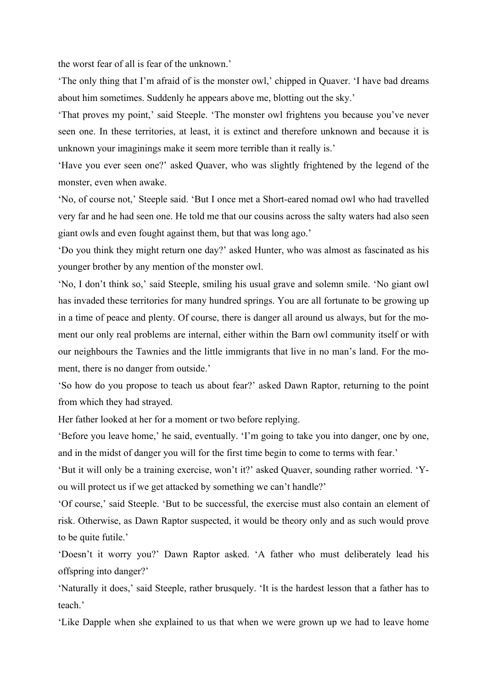the worst fear of all is fear of the unknown.'

'The only thing that I'm afraid of is the monster owl,' chipped in Quaver. 'I have bad dreams about him sometimes. Suddenly he appears above me, blotting out the sky.'

'That proves my point,' said Steeple. 'The monster owl frightens you because you've never seen one. In these territories, at least, it is extinct and therefore unknown and because it is unknown your imaginings make it seem more terrible than it really is.'

'Have you ever seen one?' asked Quaver, who was slightly frightened by the legend of the monster, even when awake.

'No, of course not,' Steeple said. 'But I once met a Short-eared nomad owl who had travelled very far and he had seen one. He told me that our cousins across the salty waters had also seen giant owls and even fought against them, but that was long ago.'

'Do you think they might return one day?' asked Hunter, who was almost as fascinated as his younger brother by any mention of the monster owl.

'No, I don't think so,' said Steeple, smiling his usual grave and solemn smile. 'No giant owl has invaded these territories for many hundred springs. You are all fortunate to be growing up in a time of peace and plenty. Of course, there is danger all around us always, but for the moment our only real problems are internal, either within the Barn owl community itself or with our neighbours the Tawnies and the little immigrants that live in no man's land. For the moment, there is no danger from outside.'

'So how do you propose to teach us about fear?' asked Dawn Raptor, returning to the point from which they had strayed.

Her father looked at her for a moment or two before replying.

'Before you leave home,' he said, eventually. 'I'm going to take you into danger, one by one, and in the midst of danger you will for the first time begin to come to terms with fear.'

'But it will only be a training exercise, won't it?' asked Quaver, sounding rather worried. 'You will protect us if we get attacked by something we can't handle?'

'Of course,' said Steeple. 'But to be successful, the exercise must also contain an element of risk. Otherwise, as Dawn Raptor suspected, it would be theory only and as such would prove to be quite futile.'

'Doesn't it worry you?' Dawn Raptor asked. 'A father who must deliberately lead his offspring into danger?'

'Naturally it does,' said Steeple, rather brusquely. 'It is the hardest lesson that a father has to teach.'

'Like Dapple when she explained to us that when we were grown up we had to leave home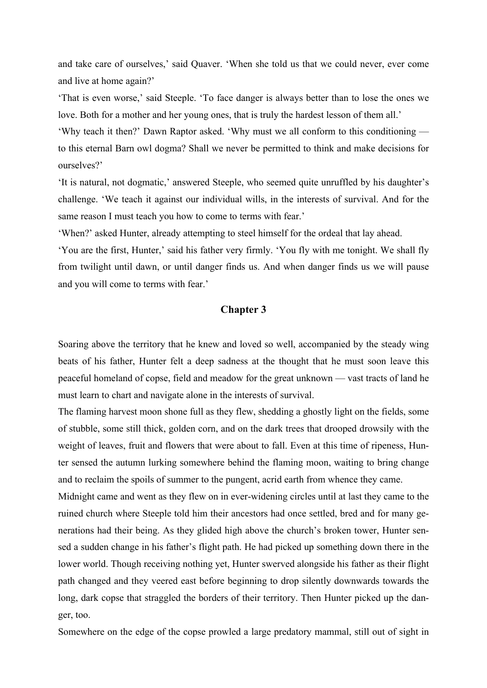and take care of ourselves,' said Quaver. 'When she told us that we could never, ever come and live at home again?'

'That is even worse,' said Steeple. 'To face danger is always better than to lose the ones we love. Both for a mother and her young ones, that is truly the hardest lesson of them all.'

'Why teach it then?' Dawn Raptor asked. 'Why must we all conform to this conditioning to this eternal Barn owl dogma? Shall we never be permitted to think and make decisions for ourselves?'

'It is natural, not dogmatic,' answered Steeple, who seemed quite unruffled by his daughter's challenge. 'We teach it against our individual wills, in the interests of survival. And for the same reason I must teach you how to come to terms with fear.'

'When?' asked Hunter, already attempting to steel himself for the ordeal that lay ahead.

'You are the first, Hunter,' said his father very firmly. 'You fly with me tonight. We shall fly from twilight until dawn, or until danger finds us. And when danger finds us we will pause and you will come to terms with fear.'

#### **Chapter 3**

Soaring above the territory that he knew and loved so well, accompanied by the steady wing beats of his father, Hunter felt a deep sadness at the thought that he must soon leave this peaceful homeland of copse, field and meadow for the great unknown — vast tracts of land he must learn to chart and navigate alone in the interests of survival.

The flaming harvest moon shone full as they flew, shedding a ghostly light on the fields, some of stubble, some still thick, golden corn, and on the dark trees that drooped drowsily with the weight of leaves, fruit and flowers that were about to fall. Even at this time of ripeness, Hunter sensed the autumn lurking somewhere behind the flaming moon, waiting to bring change and to reclaim the spoils of summer to the pungent, acrid earth from whence they came.

Midnight came and went as they flew on in ever-widening circles until at last they came to the ruined church where Steeple told him their ancestors had once settled, bred and for many generations had their being. As they glided high above the church's broken tower, Hunter sensed a sudden change in his father's flight path. He had picked up something down there in the lower world. Though receiving nothing yet, Hunter swerved alongside his father as their flight path changed and they veered east before beginning to drop silently downwards towards the long, dark copse that straggled the borders of their territory. Then Hunter picked up the danger, too.

Somewhere on the edge of the copse prowled a large predatory mammal, still out of sight in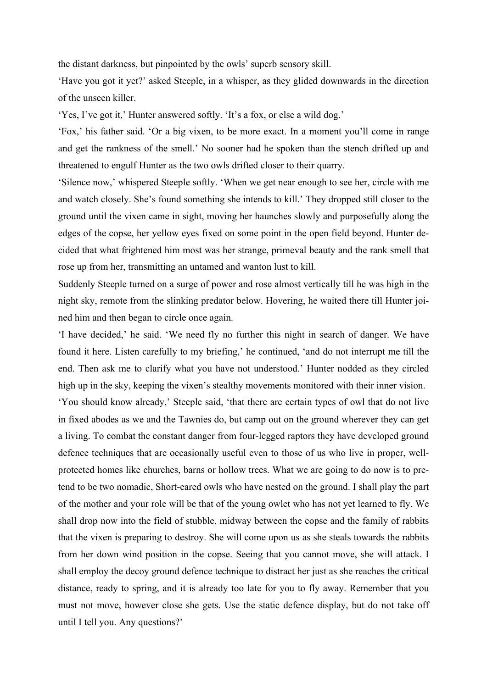the distant darkness, but pinpointed by the owls' superb sensory skill.

'Have you got it yet?' asked Steeple, in a whisper, as they glided downwards in the direction of the unseen killer.

'Yes, I've got it,' Hunter answered softly. 'It's a fox, or else a wild dog.'

'Fox,' his father said. 'Or a big vixen, to be more exact. In a moment you'll come in range and get the rankness of the smell.' No sooner had he spoken than the stench drifted up and threatened to engulf Hunter as the two owls drifted closer to their quarry.

'Silence now,' whispered Steeple softly. 'When we get near enough to see her, circle with me and watch closely. She's found something she intends to kill.' They dropped still closer to the ground until the vixen came in sight, moving her haunches slowly and purposefully along the edges of the copse, her yellow eyes fixed on some point in the open field beyond. Hunter decided that what frightened him most was her strange, primeval beauty and the rank smell that rose up from her, transmitting an untamed and wanton lust to kill.

Suddenly Steeple turned on a surge of power and rose almost vertically till he was high in the night sky, remote from the slinking predator below. Hovering, he waited there till Hunter joined him and then began to circle once again.

'I have decided,' he said. 'We need fly no further this night in search of danger. We have found it here. Listen carefully to my briefing,' he continued, 'and do not interrupt me till the end. Then ask me to clarify what you have not understood.' Hunter nodded as they circled high up in the sky, keeping the vixen's stealthy movements monitored with their inner vision.

'You should know already,' Steeple said, 'that there are certain types of owl that do not live in fixed abodes as we and the Tawnies do, but camp out on the ground wherever they can get a living. To combat the constant danger from four-legged raptors they have developed ground defence techniques that are occasionally useful even to those of us who live in proper, wellprotected homes like churches, barns or hollow trees. What we are going to do now is to pretend to be two nomadic, Short-eared owls who have nested on the ground. I shall play the part of the mother and your role will be that of the young owlet who has not yet learned to fly. We shall drop now into the field of stubble, midway between the copse and the family of rabbits that the vixen is preparing to destroy. She will come upon us as she steals towards the rabbits from her down wind position in the copse. Seeing that you cannot move, she will attack. I shall employ the decoy ground defence technique to distract her just as she reaches the critical distance, ready to spring, and it is already too late for you to fly away. Remember that you must not move, however close she gets. Use the static defence display, but do not take off until I tell you. Any questions?'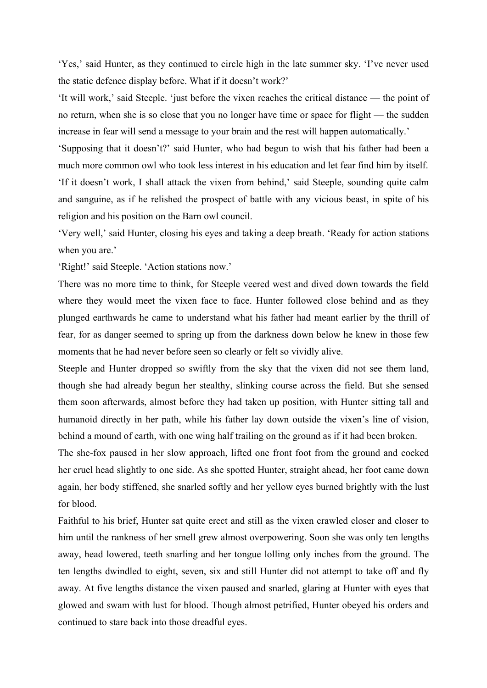'Yes,' said Hunter, as they continued to circle high in the late summer sky. 'I've never used the static defence display before. What if it doesn't work?'

'It will work,' said Steeple. 'just before the vixen reaches the critical distance — the point of no return, when she is so close that you no longer have time or space for flight — the sudden increase in fear will send a message to your brain and the rest will happen automatically.'

'Supposing that it doesn't?' said Hunter, who had begun to wish that his father had been a much more common owl who took less interest in his education and let fear find him by itself. 'If it doesn't work, I shall attack the vixen from behind,' said Steeple, sounding quite calm and sanguine, as if he relished the prospect of battle with any vicious beast, in spite of his religion and his position on the Barn owl council.

'Very well,' said Hunter, closing his eyes and taking a deep breath. 'Ready for action stations when you are.'

'Right!' said Steeple. 'Action stations now.'

There was no more time to think, for Steeple veered west and dived down towards the field where they would meet the vixen face to face. Hunter followed close behind and as they plunged earthwards he came to understand what his father had meant earlier by the thrill of fear, for as danger seemed to spring up from the darkness down below he knew in those few moments that he had never before seen so clearly or felt so vividly alive.

Steeple and Hunter dropped so swiftly from the sky that the vixen did not see them land, though she had already begun her stealthy, slinking course across the field. But she sensed them soon afterwards, almost before they had taken up position, with Hunter sitting tall and humanoid directly in her path, while his father lay down outside the vixen's line of vision, behind a mound of earth, with one wing half trailing on the ground as if it had been broken.

The she-fox paused in her slow approach, lifted one front foot from the ground and cocked her cruel head slightly to one side. As she spotted Hunter, straight ahead, her foot came down again, her body stiffened, she snarled softly and her yellow eyes burned brightly with the lust for blood.

Faithful to his brief, Hunter sat quite erect and still as the vixen crawled closer and closer to him until the rankness of her smell grew almost overpowering. Soon she was only ten lengths away, head lowered, teeth snarling and her tongue lolling only inches from the ground. The ten lengths dwindled to eight, seven, six and still Hunter did not attempt to take off and fly away. At five lengths distance the vixen paused and snarled, glaring at Hunter with eyes that glowed and swam with lust for blood. Though almost petrified, Hunter obeyed his orders and continued to stare back into those dreadful eyes.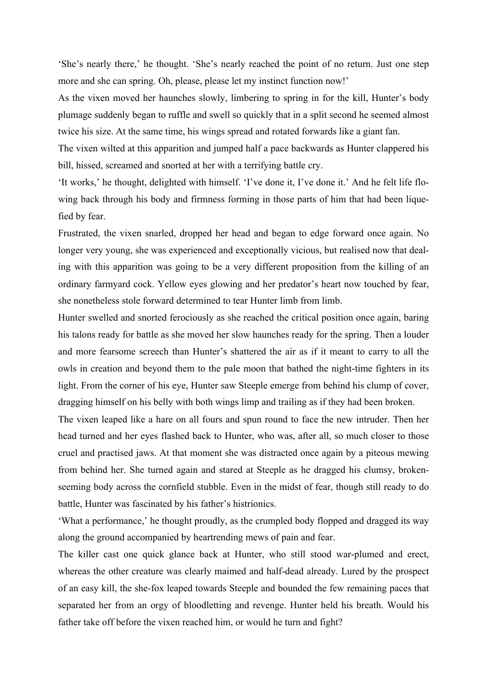'She's nearly there,' he thought. 'She's nearly reached the point of no return. Just one step more and she can spring. Oh, please, please let my instinct function now!'

As the vixen moved her haunches slowly, limbering to spring in for the kill, Hunter's body plumage suddenly began to ruffle and swell so quickly that in a split second he seemed almost twice his size. At the same time, his wings spread and rotated forwards like a giant fan.

The vixen wilted at this apparition and jumped half a pace backwards as Hunter clappered his bill, hissed, screamed and snorted at her with a terrifying battle cry.

'It works,' he thought, delighted with himself. 'I've done it, I've done it.' And he felt life flowing back through his body and firmness forming in those parts of him that had been liquefied by fear.

Frustrated, the vixen snarled, dropped her head and began to edge forward once again. No longer very young, she was experienced and exceptionally vicious, but realised now that dealing with this apparition was going to be a very different proposition from the killing of an ordinary farmyard cock. Yellow eyes glowing and her predator's heart now touched by fear, she nonetheless stole forward determined to tear Hunter limb from limb.

Hunter swelled and snorted ferociously as she reached the critical position once again, baring his talons ready for battle as she moved her slow haunches ready for the spring. Then a louder and more fearsome screech than Hunter's shattered the air as if it meant to carry to all the owls in creation and beyond them to the pale moon that bathed the night-time fighters in its light. From the corner of his eye, Hunter saw Steeple emerge from behind his clump of cover, dragging himself on his belly with both wings limp and trailing as if they had been broken.

The vixen leaped like a hare on all fours and spun round to face the new intruder. Then her head turned and her eyes flashed back to Hunter, who was, after all, so much closer to those cruel and practised jaws. At that moment she was distracted once again by a piteous mewing from behind her. She turned again and stared at Steeple as he dragged his clumsy, brokenseeming body across the cornfield stubble. Even in the midst of fear, though still ready to do battle, Hunter was fascinated by his father's histrionics.

'What a performance,' he thought proudly, as the crumpled body flopped and dragged its way along the ground accompanied by heartrending mews of pain and fear.

The killer cast one quick glance back at Hunter, who still stood war-plumed and erect, whereas the other creature was clearly maimed and half-dead already. Lured by the prospect of an easy kill, the she-fox leaped towards Steeple and bounded the few remaining paces that separated her from an orgy of bloodletting and revenge. Hunter held his breath. Would his father take off before the vixen reached him, or would he turn and fight?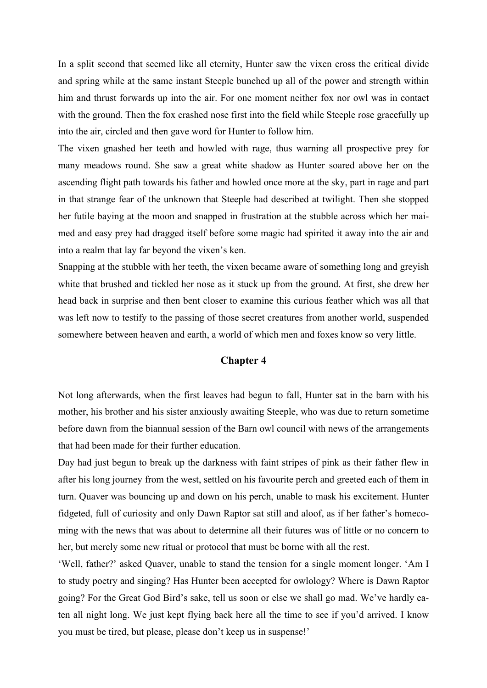In a split second that seemed like all eternity, Hunter saw the vixen cross the critical divide and spring while at the same instant Steeple bunched up all of the power and strength within him and thrust forwards up into the air. For one moment neither fox nor owl was in contact with the ground. Then the fox crashed nose first into the field while Steeple rose gracefully up into the air, circled and then gave word for Hunter to follow him.

The vixen gnashed her teeth and howled with rage, thus warning all prospective prey for many meadows round. She saw a great white shadow as Hunter soared above her on the ascending flight path towards his father and howled once more at the sky, part in rage and part in that strange fear of the unknown that Steeple had described at twilight. Then she stopped her futile baying at the moon and snapped in frustration at the stubble across which her maimed and easy prey had dragged itself before some magic had spirited it away into the air and into a realm that lay far beyond the vixen's ken.

Snapping at the stubble with her teeth, the vixen became aware of something long and greyish white that brushed and tickled her nose as it stuck up from the ground. At first, she drew her head back in surprise and then bent closer to examine this curious feather which was all that was left now to testify to the passing of those secret creatures from another world, suspended somewhere between heaven and earth, a world of which men and foxes know so very little.

#### **Chapter 4**

Not long afterwards, when the first leaves had begun to fall, Hunter sat in the barn with his mother, his brother and his sister anxiously awaiting Steeple, who was due to return sometime before dawn from the biannual session of the Barn owl council with news of the arrangements that had been made for their further education.

Day had just begun to break up the darkness with faint stripes of pink as their father flew in after his long journey from the west, settled on his favourite perch and greeted each of them in turn. Quaver was bouncing up and down on his perch, unable to mask his excitement. Hunter fidgeted, full of curiosity and only Dawn Raptor sat still and aloof, as if her father's homecoming with the news that was about to determine all their futures was of little or no concern to her, but merely some new ritual or protocol that must be borne with all the rest.

'Well, father?' asked Quaver, unable to stand the tension for a single moment longer. 'Am I to study poetry and singing? Has Hunter been accepted for owlology? Where is Dawn Raptor going? For the Great God Bird's sake, tell us soon or else we shall go mad. We've hardly eaten all night long. We just kept flying back here all the time to see if you'd arrived. I know you must be tired, but please, please don't keep us in suspense!'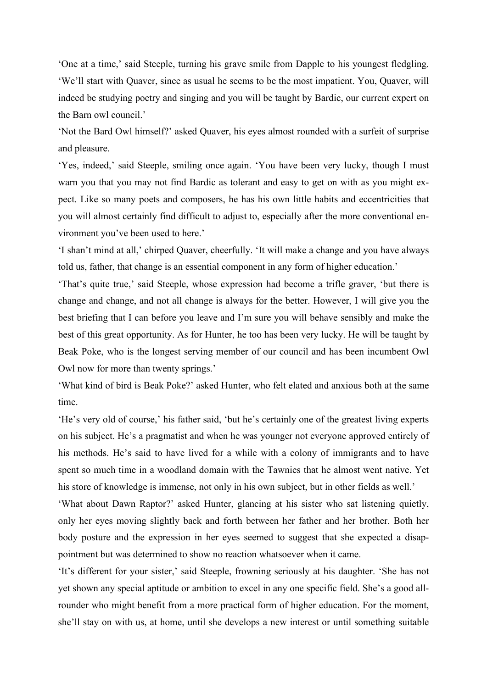'One at a time,' said Steeple, turning his grave smile from Dapple to his youngest fledgling. 'We'll start with Quaver, since as usual he seems to be the most impatient. You, Quaver, will indeed be studying poetry and singing and you will be taught by Bardic, our current expert on the Barn owl council.'

'Not the Bard Owl himself?' asked Quaver, his eyes almost rounded with a surfeit of surprise and pleasure.

'Yes, indeed,' said Steeple, smiling once again. 'You have been very lucky, though I must warn you that you may not find Bardic as tolerant and easy to get on with as you might expect. Like so many poets and composers, he has his own little habits and eccentricities that you will almost certainly find difficult to adjust to, especially after the more conventional environment you've been used to here.'

'I shan't mind at all,' chirped Quaver, cheerfully. 'It will make a change and you have always told us, father, that change is an essential component in any form of higher education.'

'That's quite true,' said Steeple, whose expression had become a trifle graver, 'but there is change and change, and not all change is always for the better. However, I will give you the best briefing that I can before you leave and I'm sure you will behave sensibly and make the best of this great opportunity. As for Hunter, he too has been very lucky. He will be taught by Beak Poke, who is the longest serving member of our council and has been incumbent Owl Owl now for more than twenty springs.'

'What kind of bird is Beak Poke?' asked Hunter, who felt elated and anxious both at the same time.

'He's very old of course,' his father said, 'but he's certainly one of the greatest living experts on his subject. He's a pragmatist and when he was younger not everyone approved entirely of his methods. He's said to have lived for a while with a colony of immigrants and to have spent so much time in a woodland domain with the Tawnies that he almost went native. Yet his store of knowledge is immense, not only in his own subject, but in other fields as well.'

'What about Dawn Raptor?' asked Hunter, glancing at his sister who sat listening quietly, only her eyes moving slightly back and forth between her father and her brother. Both her body posture and the expression in her eyes seemed to suggest that she expected a disappointment but was determined to show no reaction whatsoever when it came.

'It's different for your sister,' said Steeple, frowning seriously at his daughter. 'She has not yet shown any special aptitude or ambition to excel in any one specific field. She's a good allrounder who might benefit from a more practical form of higher education. For the moment, she'll stay on with us, at home, until she develops a new interest or until something suitable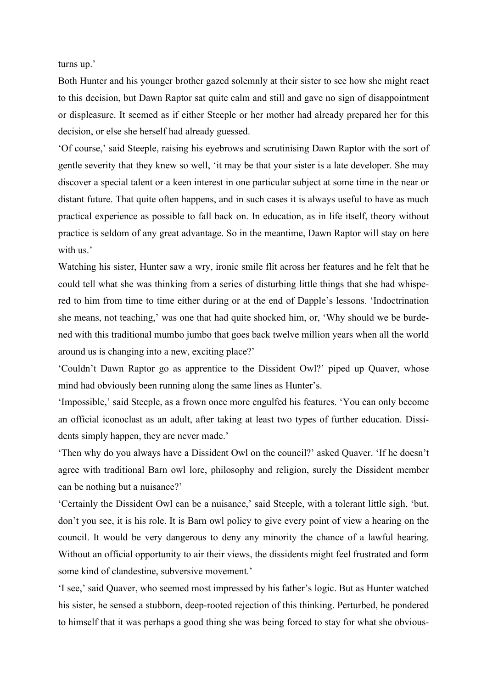turns up.'

Both Hunter and his younger brother gazed solemnly at their sister to see how she might react to this decision, but Dawn Raptor sat quite calm and still and gave no sign of disappointment or displeasure. It seemed as if either Steeple or her mother had already prepared her for this decision, or else she herself had already guessed.

'Of course,' said Steeple, raising his eyebrows and scrutinising Dawn Raptor with the sort of gentle severity that they knew so well, 'it may be that your sister is a late developer. She may discover a special talent or a keen interest in one particular subject at some time in the near or distant future. That quite often happens, and in such cases it is always useful to have as much practical experience as possible to fall back on. In education, as in life itself, theory without practice is seldom of any great advantage. So in the meantime, Dawn Raptor will stay on here with us.'

Watching his sister, Hunter saw a wry, ironic smile flit across her features and he felt that he could tell what she was thinking from a series of disturbing little things that she had whispered to him from time to time either during or at the end of Dapple's lessons. 'Indoctrination she means, not teaching,' was one that had quite shocked him, or, 'Why should we be burdened with this traditional mumbo jumbo that goes back twelve million years when all the world around us is changing into a new, exciting place?'

'Couldn't Dawn Raptor go as apprentice to the Dissident Owl?' piped up Quaver, whose mind had obviously been running along the same lines as Hunter's.

'Impossible,' said Steeple, as a frown once more engulfed his features. 'You can only become an official iconoclast as an adult, after taking at least two types of further education. Dissidents simply happen, they are never made.'

'Then why do you always have a Dissident Owl on the council?' asked Quaver. 'If he doesn't agree with traditional Barn owl lore, philosophy and religion, surely the Dissident member can be nothing but a nuisance?'

'Certainly the Dissident Owl can be a nuisance,' said Steeple, with a tolerant little sigh, 'but, don't you see, it is his role. It is Barn owl policy to give every point of view a hearing on the council. It would be very dangerous to deny any minority the chance of a lawful hearing. Without an official opportunity to air their views, the dissidents might feel frustrated and form some kind of clandestine, subversive movement.'

'I see,' said Quaver, who seemed most impressed by his father's logic. But as Hunter watched his sister, he sensed a stubborn, deep-rooted rejection of this thinking. Perturbed, he pondered to himself that it was perhaps a good thing she was being forced to stay for what she obvious